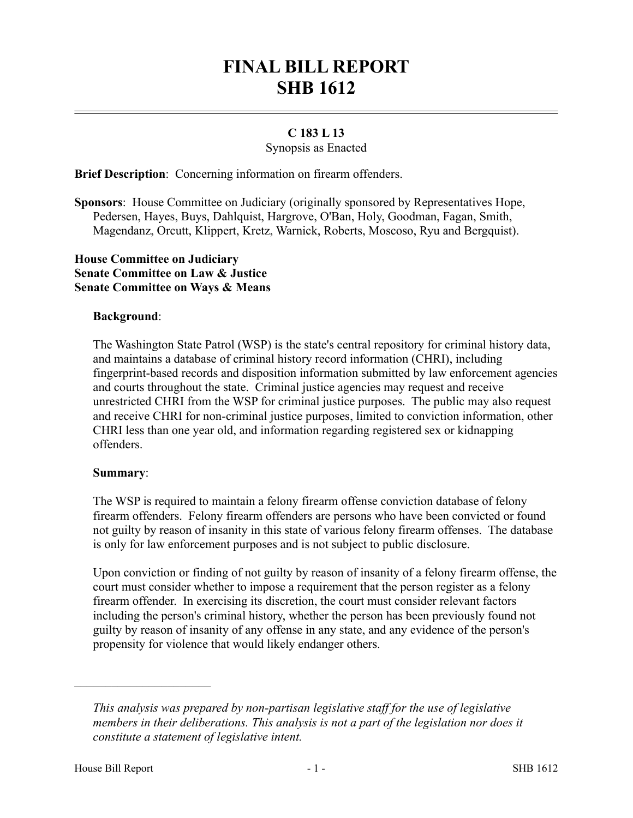# **FINAL BILL REPORT SHB 1612**

# **C 183 L 13**

### Synopsis as Enacted

**Brief Description**: Concerning information on firearm offenders.

**Sponsors**: House Committee on Judiciary (originally sponsored by Representatives Hope, Pedersen, Hayes, Buys, Dahlquist, Hargrove, O'Ban, Holy, Goodman, Fagan, Smith, Magendanz, Orcutt, Klippert, Kretz, Warnick, Roberts, Moscoso, Ryu and Bergquist).

# **House Committee on Judiciary Senate Committee on Law & Justice Senate Committee on Ways & Means**

### **Background**:

The Washington State Patrol (WSP) is the state's central repository for criminal history data, and maintains a database of criminal history record information (CHRI), including fingerprint-based records and disposition information submitted by law enforcement agencies and courts throughout the state. Criminal justice agencies may request and receive unrestricted CHRI from the WSP for criminal justice purposes. The public may also request and receive CHRI for non-criminal justice purposes, limited to conviction information, other CHRI less than one year old, and information regarding registered sex or kidnapping offenders.

### **Summary**:

The WSP is required to maintain a felony firearm offense conviction database of felony firearm offenders. Felony firearm offenders are persons who have been convicted or found not guilty by reason of insanity in this state of various felony firearm offenses. The database is only for law enforcement purposes and is not subject to public disclosure.

Upon conviction or finding of not guilty by reason of insanity of a felony firearm offense, the court must consider whether to impose a requirement that the person register as a felony firearm offender. In exercising its discretion, the court must consider relevant factors including the person's criminal history, whether the person has been previously found not guilty by reason of insanity of any offense in any state, and any evidence of the person's propensity for violence that would likely endanger others.

––––––––––––––––––––––

*This analysis was prepared by non-partisan legislative staff for the use of legislative members in their deliberations. This analysis is not a part of the legislation nor does it constitute a statement of legislative intent.*